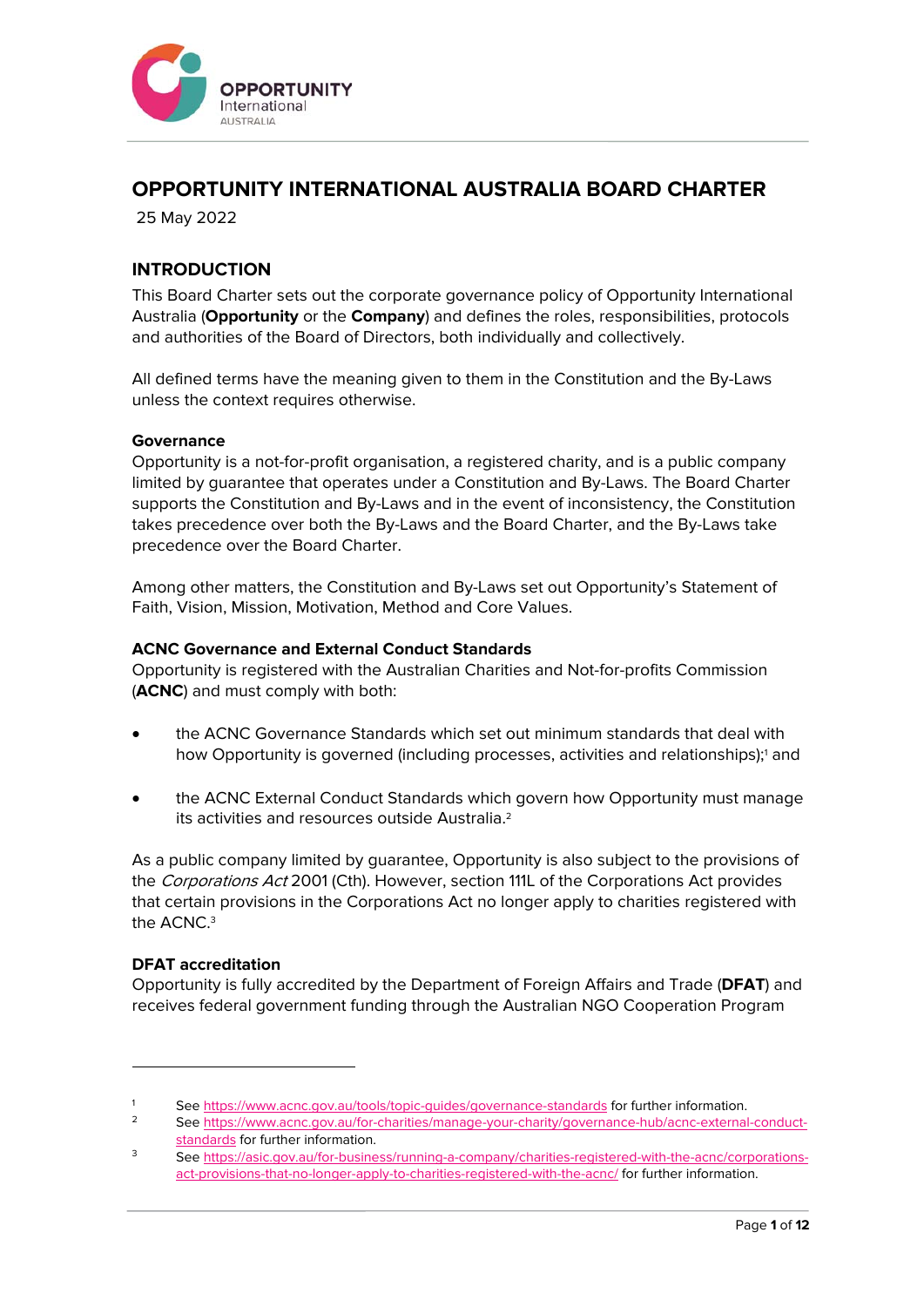

# **OPPORTUNITY INTERNATIONAL AUSTRALIA BOARD CHARTER**

25 May 2022

## **INTRODUCTION**

This Board Charter sets out the corporate governance policy of Opportunity International Australia (**Opportunity** or the **Company**) and defines the roles, responsibilities, protocols and authorities of the Board of Directors, both individually and collectively.

All defined terms have the meaning given to them in the Constitution and the By-Laws unless the context requires otherwise.

#### **Governance**

Opportunity is a not-for-profit organisation, a registered charity, and is a public company limited by guarantee that operates under a Constitution and By-Laws. The Board Charter supports the Constitution and By-Laws and in the event of inconsistency, the Constitution takes precedence over both the By-Laws and the Board Charter, and the By-Laws take precedence over the Board Charter.

Among other matters, the Constitution and By-Laws set out Opportunity's Statement of Faith, Vision, Mission, Motivation, Method and Core Values.

### **ACNC Governance and External Conduct Standards**

Opportunity is registered with the Australian Charities and Not-for-profits Commission (**ACNC**) and must comply with both:

- the ACNC Governance Standards which set out minimum standards that deal with how Opportunity is governed (including processes, activities and relationships);<sup>1</sup> and
- the ACNC External Conduct Standards which govern how Opportunity must manage its activities and resources outside Australia.2

As a public company limited by guarantee, Opportunity is also subject to the provisions of the Corporations Act 2001 (Cth). However, section 111L of the Corporations Act provides that certain provisions in the Corporations Act no longer apply to charities registered with the ACNC.<sup>3</sup>

#### **DFAT accreditation**

Opportunity is fully accredited by the Department of Foreign Affairs and Trade (**DFAT**) and receives federal government funding through the Australian NGO Cooperation Program

<sup>1</sup> See https://www.acnc.gov.au/tools/topic-guides/governance-standards for further information.<br>
2 See https://www.acnc.gov.au/for-charities/manage-your-charity/governance-hub/acnc-external-conduct-

standards for further information.<br>3 See https://asic.gov.au/for-business/running-a-company/charities-registered-with-the-acnc/corporations-

act-provisions-that-no-longer-apply-to-charities-registered-with-the-acnc/ for further information.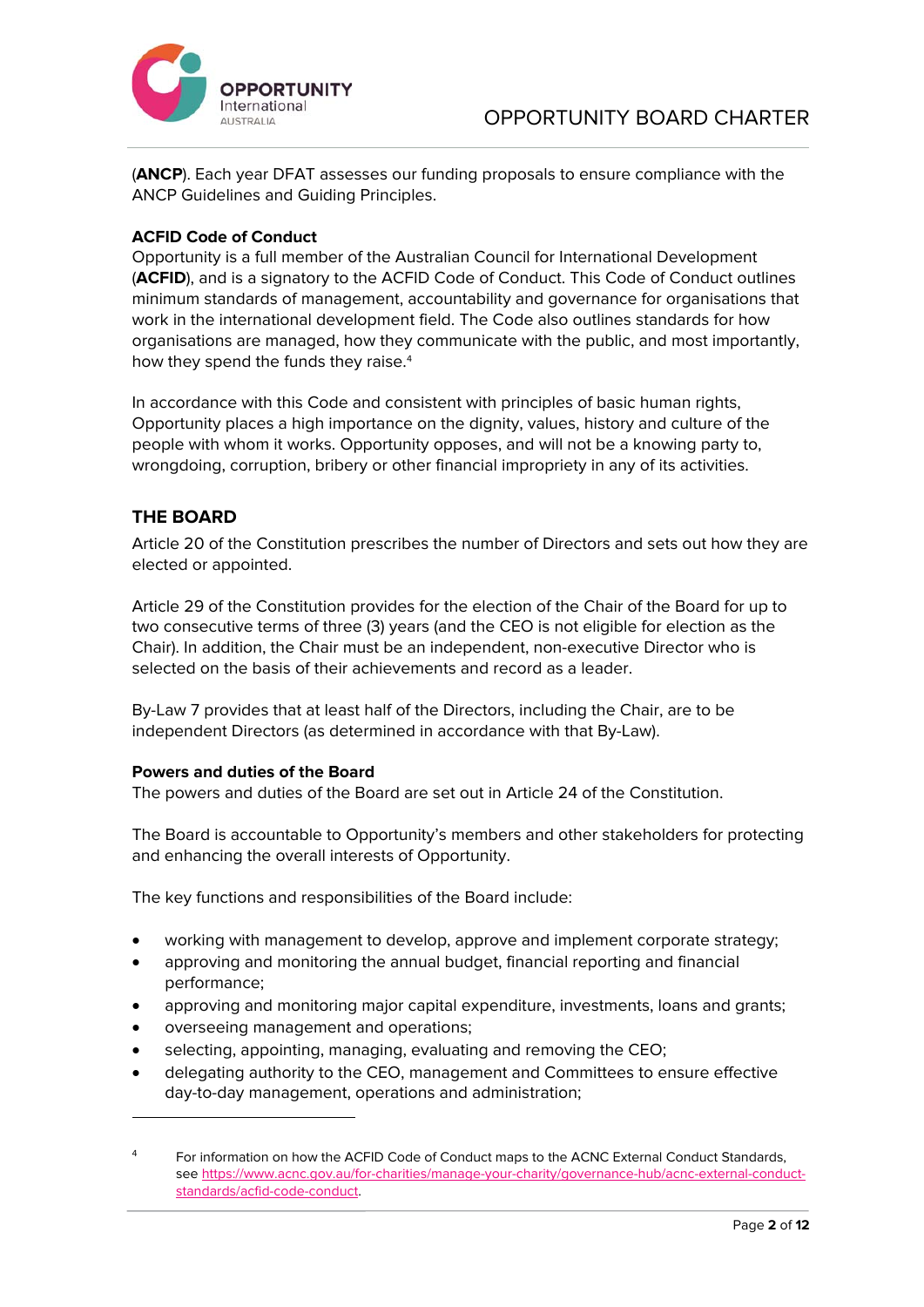

(**ANCP**). Each year DFAT assesses our funding proposals to ensure compliance with the ANCP Guidelines and Guiding Principles.

### **ACFID Code of Conduct**

Opportunity is a full member of the Australian Council for International Development (**ACFID**), and is a signatory to the ACFID Code of Conduct. This Code of Conduct outlines minimum standards of management, accountability and governance for organisations that work in the international development field. The Code also outlines standards for how organisations are managed, how they communicate with the public, and most importantly, how they spend the funds they raise.<sup>4</sup>

In accordance with this Code and consistent with principles of basic human rights, Opportunity places a high importance on the dignity, values, history and culture of the people with whom it works. Opportunity opposes, and will not be a knowing party to, wrongdoing, corruption, bribery or other financial impropriety in any of its activities.

## **THE BOARD**

Article 20 of the Constitution prescribes the number of Directors and sets out how they are elected or appointed.

Article 29 of the Constitution provides for the election of the Chair of the Board for up to two consecutive terms of three (3) years (and the CEO is not eligible for election as the Chair). In addition, the Chair must be an independent, non-executive Director who is selected on the basis of their achievements and record as a leader.

By-Law 7 provides that at least half of the Directors, including the Chair, are to be independent Directors (as determined in accordance with that By-Law).

#### **Powers and duties of the Board**

The powers and duties of the Board are set out in Article 24 of the Constitution.

The Board is accountable to Opportunity's members and other stakeholders for protecting and enhancing the overall interests of Opportunity.

The key functions and responsibilities of the Board include:

- working with management to develop, approve and implement corporate strategy;
- approving and monitoring the annual budget, financial reporting and financial performance;
- approving and monitoring major capital expenditure, investments, loans and grants;
- overseeing management and operations;
- selecting, appointing, managing, evaluating and removing the CEO;
- delegating authority to the CEO, management and Committees to ensure effective day-to-day management, operations and administration;

<sup>&</sup>lt;sup>4</sup> For information on how the ACFID Code of Conduct maps to the ACNC External Conduct Standards, see https://www.acnc.gov.au/for-charities/manage-your-charity/governance-hub/acnc-external-conductstandards/acfid-code-conduct.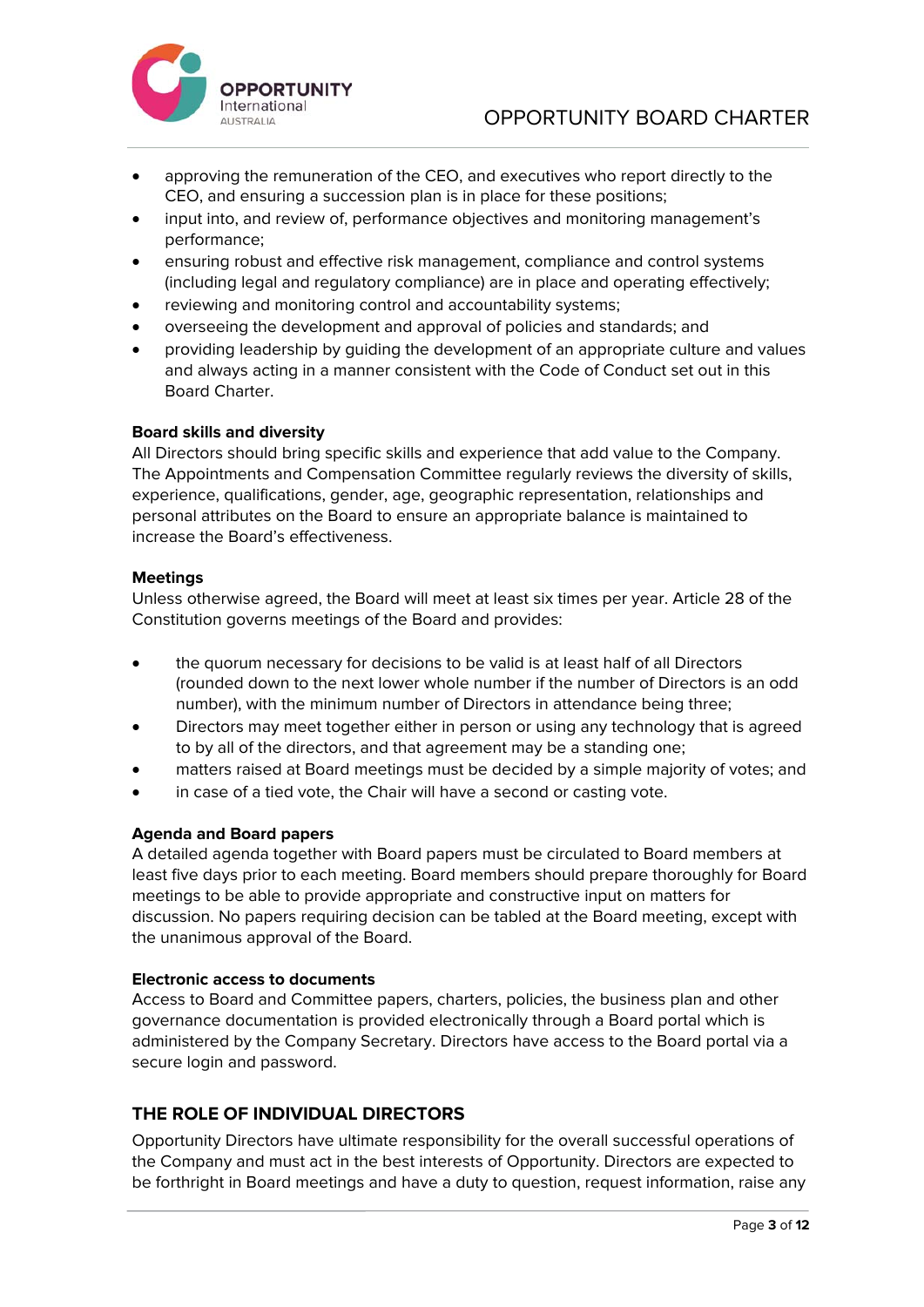

- approving the remuneration of the CEO, and executives who report directly to the CEO, and ensuring a succession plan is in place for these positions;
- input into, and review of, performance objectives and monitoring management's performance;
- ensuring robust and effective risk management, compliance and control systems (including legal and regulatory compliance) are in place and operating effectively;
- reviewing and monitoring control and accountability systems;
- overseeing the development and approval of policies and standards; and
- providing leadership by guiding the development of an appropriate culture and values and always acting in a manner consistent with the Code of Conduct set out in this Board Charter.

### **Board skills and diversity**

All Directors should bring specific skills and experience that add value to the Company. The Appointments and Compensation Committee regularly reviews the diversity of skills, experience, qualifications, gender, age, geographic representation, relationships and personal attributes on the Board to ensure an appropriate balance is maintained to increase the Board's effectiveness.

### **Meetings**

Unless otherwise agreed, the Board will meet at least six times per year. Article 28 of the Constitution governs meetings of the Board and provides:

- the quorum necessary for decisions to be valid is at least half of all Directors (rounded down to the next lower whole number if the number of Directors is an odd number), with the minimum number of Directors in attendance being three;
- Directors may meet together either in person or using any technology that is agreed to by all of the directors, and that agreement may be a standing one;
- matters raised at Board meetings must be decided by a simple majority of votes; and
- in case of a tied vote, the Chair will have a second or casting vote.

## **Agenda and Board papers**

A detailed agenda together with Board papers must be circulated to Board members at least five days prior to each meeting. Board members should prepare thoroughly for Board meetings to be able to provide appropriate and constructive input on matters for discussion. No papers requiring decision can be tabled at the Board meeting, except with the unanimous approval of the Board.

#### **Electronic access to documents**

Access to Board and Committee papers, charters, policies, the business plan and other governance documentation is provided electronically through a Board portal which is administered by the Company Secretary. Directors have access to the Board portal via a secure login and password.

## **THE ROLE OF INDIVIDUAL DIRECTORS**

Opportunity Directors have ultimate responsibility for the overall successful operations of the Company and must act in the best interests of Opportunity. Directors are expected to be forthright in Board meetings and have a duty to question, request information, raise any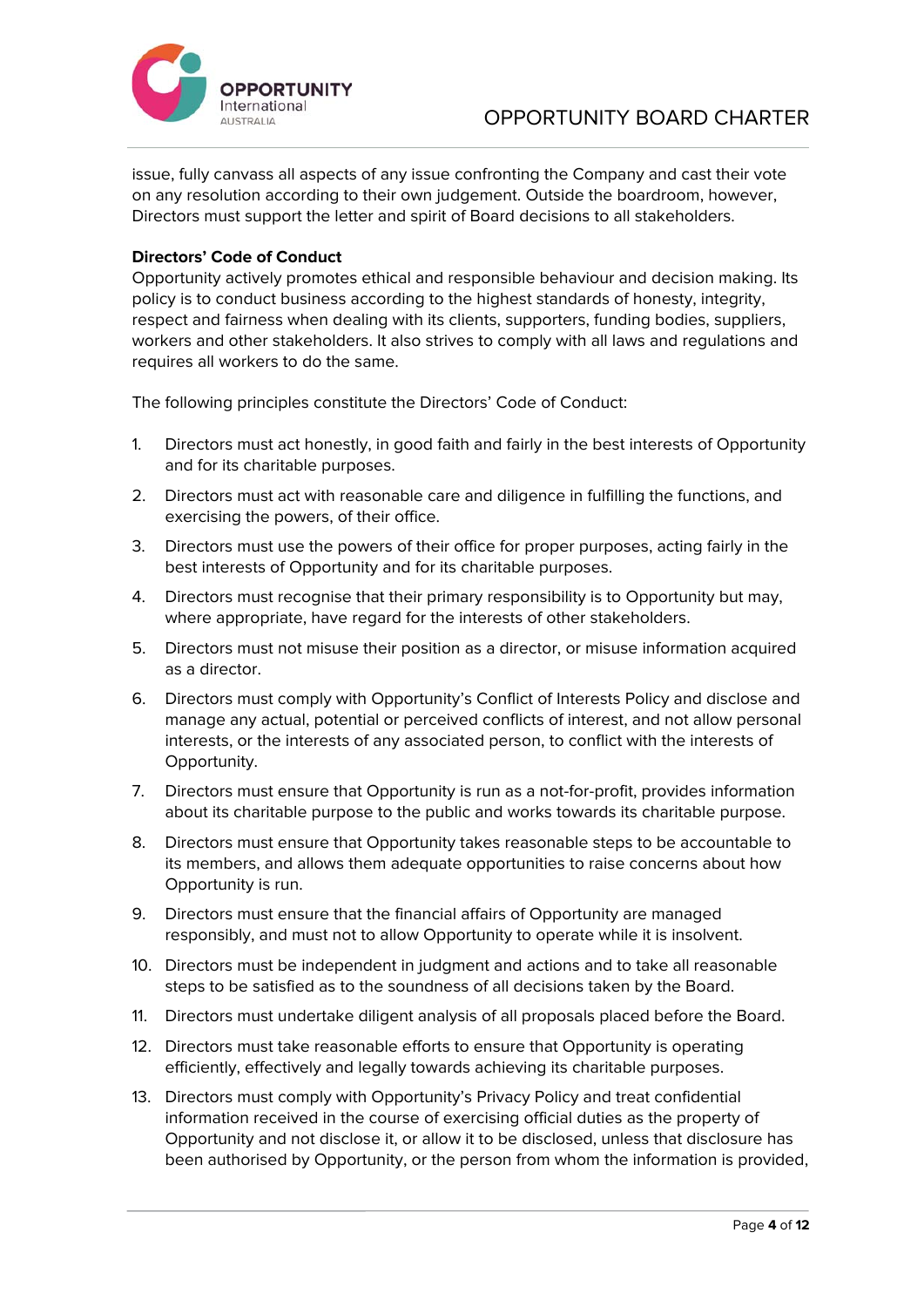

issue, fully canvass all aspects of any issue confronting the Company and cast their vote on any resolution according to their own judgement. Outside the boardroom, however, Directors must support the letter and spirit of Board decisions to all stakeholders.

## **Directors' Code of Conduct**

Opportunity actively promotes ethical and responsible behaviour and decision making. Its policy is to conduct business according to the highest standards of honesty, integrity, respect and fairness when dealing with its clients, supporters, funding bodies, suppliers, workers and other stakeholders. It also strives to comply with all laws and regulations and requires all workers to do the same.

The following principles constitute the Directors' Code of Conduct:

- 1. Directors must act honestly, in good faith and fairly in the best interests of Opportunity and for its charitable purposes.
- 2. Directors must act with reasonable care and diligence in fulfilling the functions, and exercising the powers, of their office.
- 3. Directors must use the powers of their office for proper purposes, acting fairly in the best interests of Opportunity and for its charitable purposes.
- 4. Directors must recognise that their primary responsibility is to Opportunity but may, where appropriate, have regard for the interests of other stakeholders.
- 5. Directors must not misuse their position as a director, or misuse information acquired as a director.
- 6. Directors must comply with Opportunity's Conflict of Interests Policy and disclose and manage any actual, potential or perceived conflicts of interest, and not allow personal interests, or the interests of any associated person, to conflict with the interests of Opportunity.
- 7. Directors must ensure that Opportunity is run as a not-for-profit, provides information about its charitable purpose to the public and works towards its charitable purpose.
- 8. Directors must ensure that Opportunity takes reasonable steps to be accountable to its members, and allows them adequate opportunities to raise concerns about how Opportunity is run.
- 9. Directors must ensure that the financial affairs of Opportunity are managed responsibly, and must not to allow Opportunity to operate while it is insolvent.
- 10. Directors must be independent in judgment and actions and to take all reasonable steps to be satisfied as to the soundness of all decisions taken by the Board.
- 11. Directors must undertake diligent analysis of all proposals placed before the Board.
- 12. Directors must take reasonable efforts to ensure that Opportunity is operating efficiently, effectively and legally towards achieving its charitable purposes.
- 13. Directors must comply with Opportunity's Privacy Policy and treat confidential information received in the course of exercising official duties as the property of Opportunity and not disclose it, or allow it to be disclosed, unless that disclosure has been authorised by Opportunity, or the person from whom the information is provided,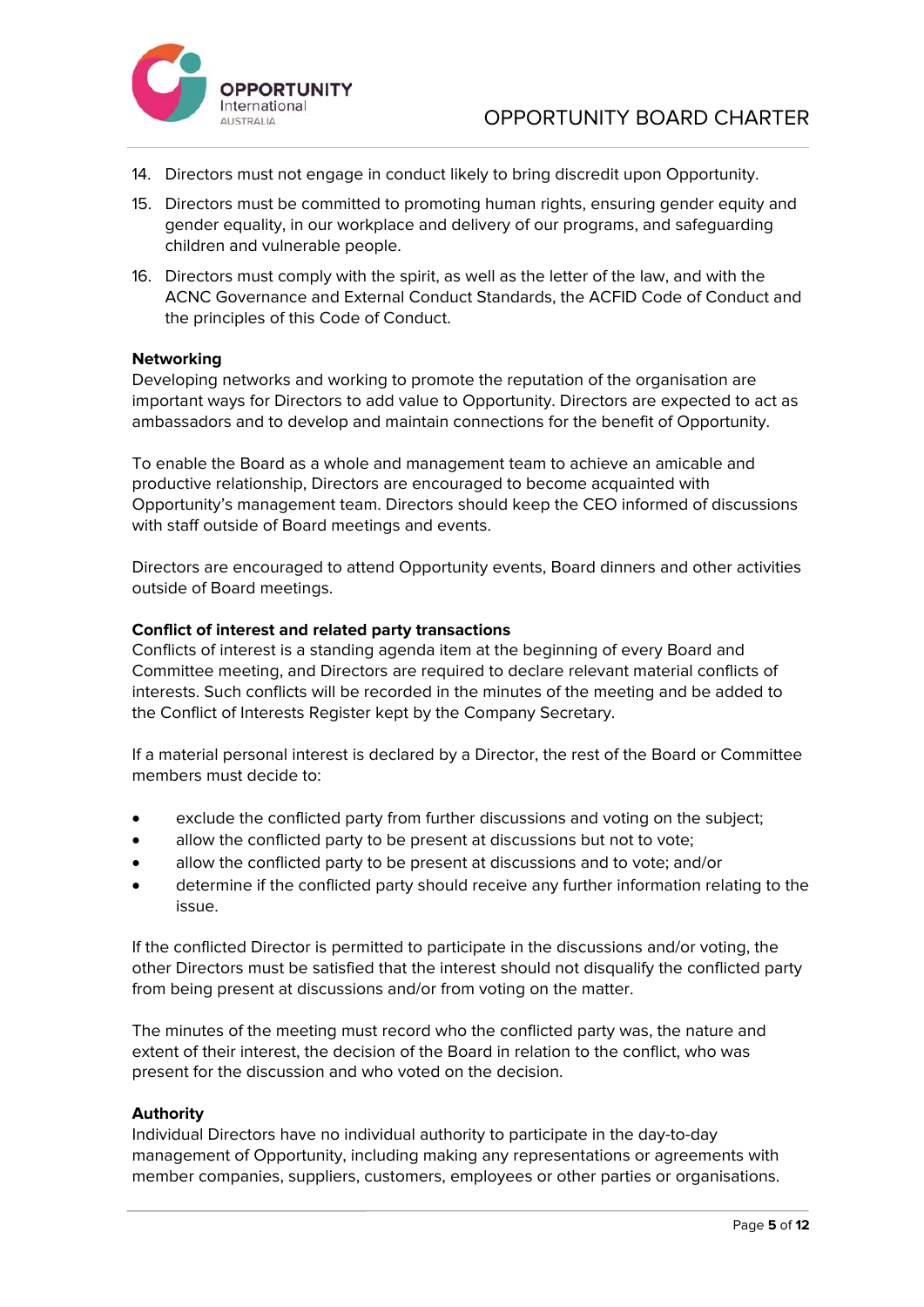

- 14. Directors must not engage in conduct likely to bring discredit upon Opportunity.
- 15. Directors must be committed to promoting human rights, ensuring gender equity and gender equality, in our workplace and delivery of our programs, and safeguarding children and vulnerable people.
- 16. Directors must comply with the spirit, as well as the letter of the law, and with the ACNC Governance and External Conduct Standards, the ACFID Code of Conduct and the principles of this Code of Conduct.

#### **Networking**

Developing networks and working to promote the reputation of the organisation are important ways for Directors to add value to Opportunity. Directors are expected to act as ambassadors and to develop and maintain connections for the benefit of Opportunity.

To enable the Board as a whole and management team to achieve an amicable and productive relationship, Directors are encouraged to become acquainted with Opportunity's management team. Directors should keep the CEO informed of discussions with staff outside of Board meetings and events.

Directors are encouraged to attend Opportunity events, Board dinners and other activities outside of Board meetings.

### **Conflict of interest and related party transactions**

Conflicts of interest is a standing agenda item at the beginning of every Board and Committee meeting, and Directors are required to declare relevant material conflicts of interests. Such conflicts will be recorded in the minutes of the meeting and be added to the Conflict of Interests Register kept by the Company Secretary.

If a material personal interest is declared by a Director, the rest of the Board or Committee members must decide to:

- exclude the conflicted party from further discussions and voting on the subject;
- allow the conflicted party to be present at discussions but not to vote;
- allow the conflicted party to be present at discussions and to vote; and/or
- determine if the conflicted party should receive any further information relating to the issue.

If the conflicted Director is permitted to participate in the discussions and/or voting, the other Directors must be satisfied that the interest should not disqualify the conflicted party from being present at discussions and/or from voting on the matter.

The minutes of the meeting must record who the conflicted party was, the nature and extent of their interest, the decision of the Board in relation to the conflict, who was present for the discussion and who voted on the decision.

#### **Authority**

Individual Directors have no individual authority to participate in the day-to-day management of Opportunity, including making any representations or agreements with member companies, suppliers, customers, employees or other parties or organisations.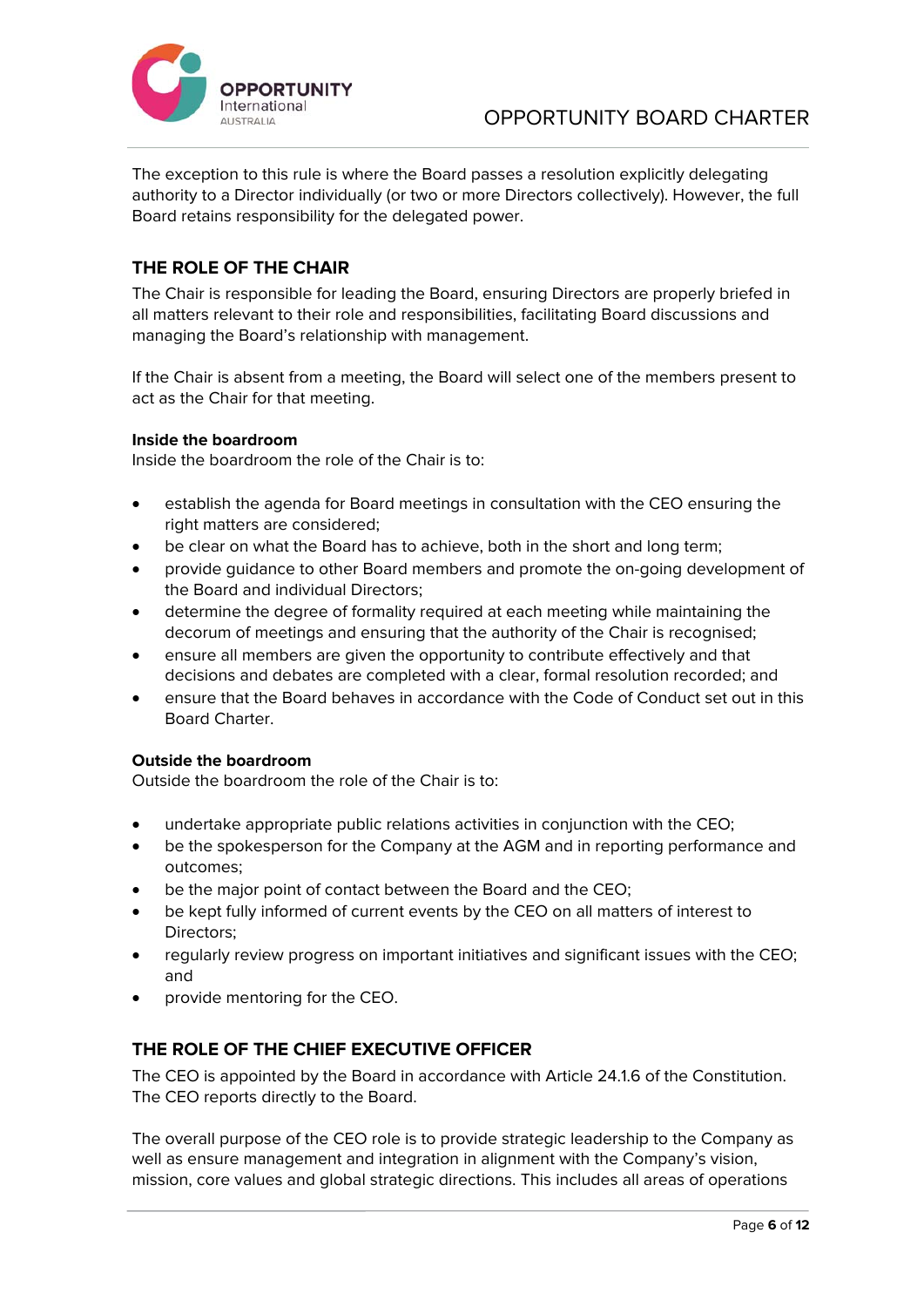

The exception to this rule is where the Board passes a resolution explicitly delegating authority to a Director individually (or two or more Directors collectively). However, the full Board retains responsibility for the delegated power.

## **THE ROLE OF THE CHAIR**

The Chair is responsible for leading the Board, ensuring Directors are properly briefed in all matters relevant to their role and responsibilities, facilitating Board discussions and managing the Board's relationship with management.

If the Chair is absent from a meeting, the Board will select one of the members present to act as the Chair for that meeting.

#### **Inside the boardroom**

Inside the boardroom the role of the Chair is to:

- establish the agenda for Board meetings in consultation with the CEO ensuring the right matters are considered;
- be clear on what the Board has to achieve, both in the short and long term;
- provide guidance to other Board members and promote the on-going development of the Board and individual Directors;
- determine the degree of formality required at each meeting while maintaining the decorum of meetings and ensuring that the authority of the Chair is recognised;
- ensure all members are given the opportunity to contribute effectively and that decisions and debates are completed with a clear, formal resolution recorded; and
- ensure that the Board behaves in accordance with the Code of Conduct set out in this Board Charter.

## **Outside the boardroom**

Outside the boardroom the role of the Chair is to:

- undertake appropriate public relations activities in conjunction with the CEO;
- be the spokesperson for the Company at the AGM and in reporting performance and outcomes;
- be the major point of contact between the Board and the CEO;
- be kept fully informed of current events by the CEO on all matters of interest to Directors;
- regularly review progress on important initiatives and significant issues with the CEO; and
- provide mentoring for the CEO.

## **THE ROLE OF THE CHIEF EXECUTIVE OFFICER**

The CEO is appointed by the Board in accordance with Article 24.1.6 of the Constitution. The CEO reports directly to the Board.

The overall purpose of the CEO role is to provide strategic leadership to the Company as well as ensure management and integration in alignment with the Company's vision, mission, core values and global strategic directions. This includes all areas of operations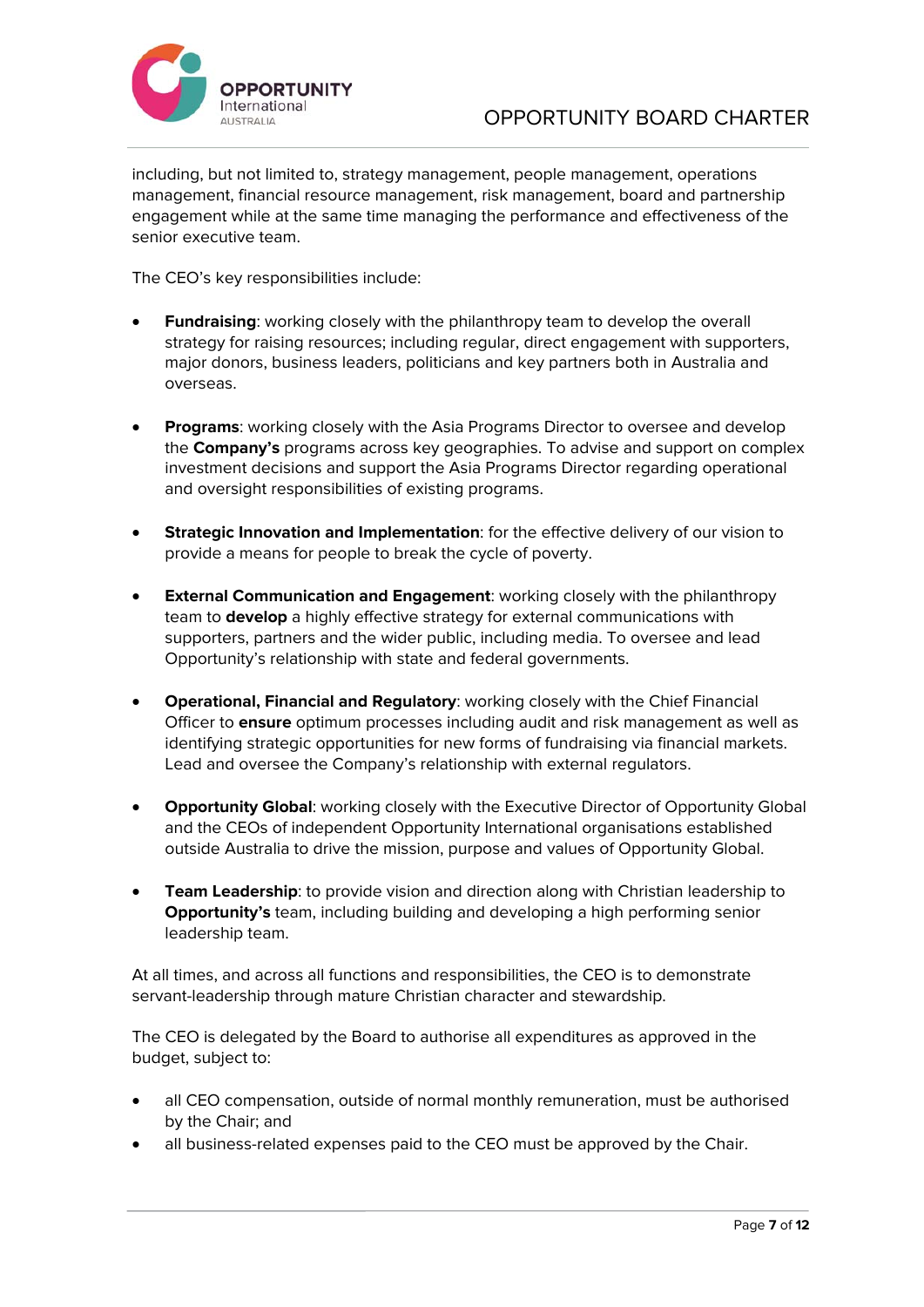

including, but not limited to, strategy management, people management, operations management, financial resource management, risk management, board and partnership engagement while at the same time managing the performance and effectiveness of the senior executive team.

The CEO's key responsibilities include:

- **Fundraising**: working closely with the philanthropy team to develop the overall strategy for raising resources; including regular, direct engagement with supporters, major donors, business leaders, politicians and key partners both in Australia and overseas.
- **Programs**: working closely with the Asia Programs Director to oversee and develop the **Company's** programs across key geographies. To advise and support on complex investment decisions and support the Asia Programs Director regarding operational and oversight responsibilities of existing programs.
- **Strategic Innovation and Implementation**: for the effective delivery of our vision to provide a means for people to break the cycle of poverty.
- **External Communication and Engagement**: working closely with the philanthropy team to **develop** a highly effective strategy for external communications with supporters, partners and the wider public, including media. To oversee and lead Opportunity's relationship with state and federal governments.
- **Operational, Financial and Regulatory**: working closely with the Chief Financial Officer to **ensure** optimum processes including audit and risk management as well as identifying strategic opportunities for new forms of fundraising via financial markets. Lead and oversee the Company's relationship with external regulators.
- **Opportunity Global:** working closely with the Executive Director of Opportunity Global and the CEOs of independent Opportunity International organisations established outside Australia to drive the mission, purpose and values of Opportunity Global.
- **Team Leadership**: to provide vision and direction along with Christian leadership to **Opportunity's** team, including building and developing a high performing senior leadership team.

At all times, and across all functions and responsibilities, the CEO is to demonstrate servant-leadership through mature Christian character and stewardship.

The CEO is delegated by the Board to authorise all expenditures as approved in the budget, subject to:

- all CEO compensation, outside of normal monthly remuneration, must be authorised by the Chair; and
- all business-related expenses paid to the CEO must be approved by the Chair.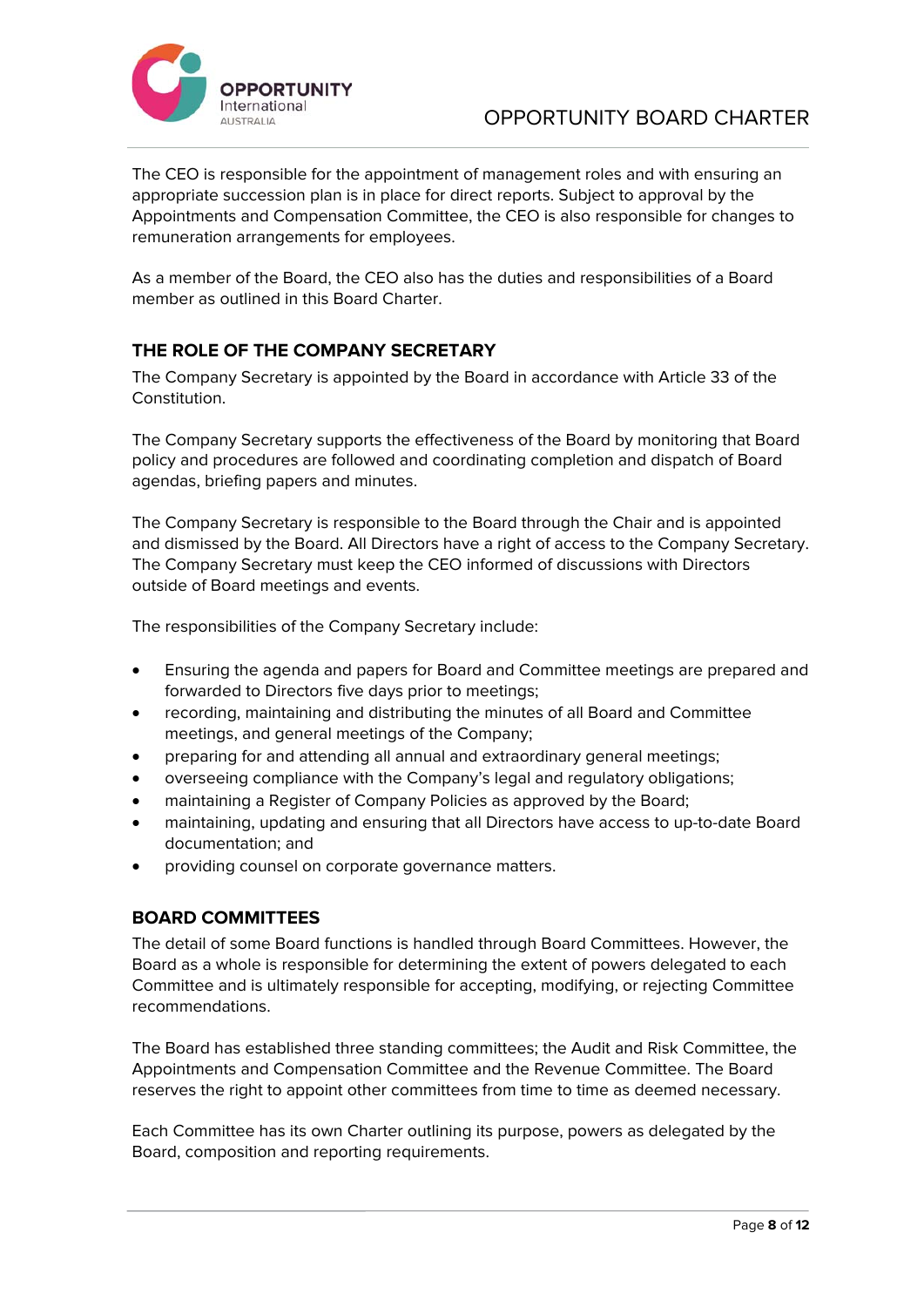

The CEO is responsible for the appointment of management roles and with ensuring an appropriate succession plan is in place for direct reports. Subject to approval by the Appointments and Compensation Committee, the CEO is also responsible for changes to remuneration arrangements for employees.

As a member of the Board, the CEO also has the duties and responsibilities of a Board member as outlined in this Board Charter.

## **THE ROLE OF THE COMPANY SECRETARY**

The Company Secretary is appointed by the Board in accordance with Article 33 of the Constitution.

The Company Secretary supports the effectiveness of the Board by monitoring that Board policy and procedures are followed and coordinating completion and dispatch of Board agendas, briefing papers and minutes.

The Company Secretary is responsible to the Board through the Chair and is appointed and dismissed by the Board. All Directors have a right of access to the Company Secretary. The Company Secretary must keep the CEO informed of discussions with Directors outside of Board meetings and events.

The responsibilities of the Company Secretary include:

- Ensuring the agenda and papers for Board and Committee meetings are prepared and forwarded to Directors five days prior to meetings;
- recording, maintaining and distributing the minutes of all Board and Committee meetings, and general meetings of the Company;
- preparing for and attending all annual and extraordinary general meetings;
- overseeing compliance with the Company's legal and regulatory obligations;
- maintaining a Register of Company Policies as approved by the Board;
- maintaining, updating and ensuring that all Directors have access to up-to-date Board documentation; and
- providing counsel on corporate governance matters.

## **BOARD COMMITTEES**

The detail of some Board functions is handled through Board Committees. However, the Board as a whole is responsible for determining the extent of powers delegated to each Committee and is ultimately responsible for accepting, modifying, or rejecting Committee recommendations.

The Board has established three standing committees; the Audit and Risk Committee, the Appointments and Compensation Committee and the Revenue Committee. The Board reserves the right to appoint other committees from time to time as deemed necessary.

Each Committee has its own Charter outlining its purpose, powers as delegated by the Board, composition and reporting requirements.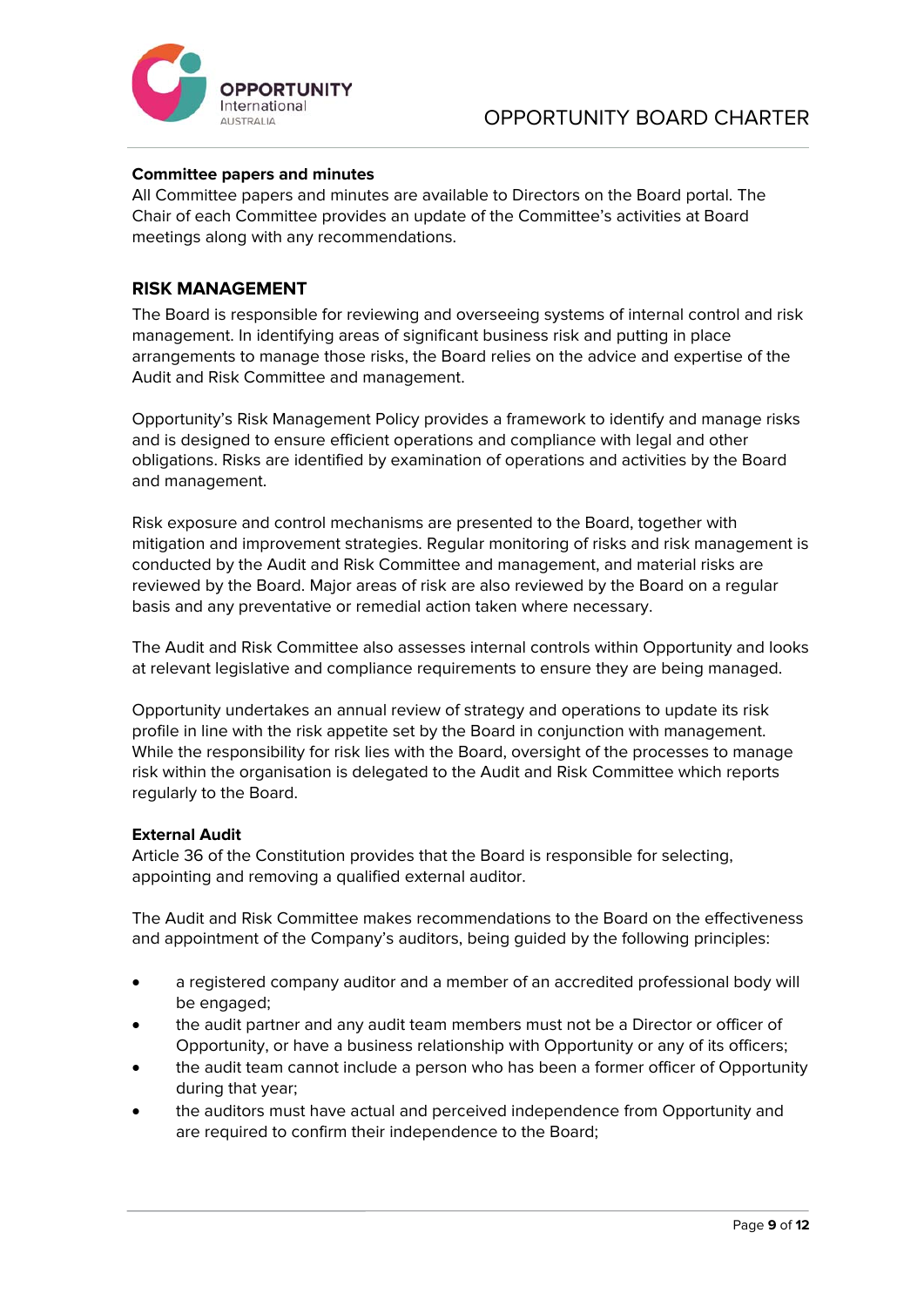

#### **Committee papers and minutes**

All Committee papers and minutes are available to Directors on the Board portal. The Chair of each Committee provides an update of the Committee's activities at Board meetings along with any recommendations.

#### **RISK MANAGEMENT**

The Board is responsible for reviewing and overseeing systems of internal control and risk management. In identifying areas of significant business risk and putting in place arrangements to manage those risks, the Board relies on the advice and expertise of the Audit and Risk Committee and management.

Opportunity's Risk Management Policy provides a framework to identify and manage risks and is designed to ensure efficient operations and compliance with legal and other obligations. Risks are identified by examination of operations and activities by the Board and management.

Risk exposure and control mechanisms are presented to the Board, together with mitigation and improvement strategies. Regular monitoring of risks and risk management is conducted by the Audit and Risk Committee and management, and material risks are reviewed by the Board. Major areas of risk are also reviewed by the Board on a regular basis and any preventative or remedial action taken where necessary.

The Audit and Risk Committee also assesses internal controls within Opportunity and looks at relevant legislative and compliance requirements to ensure they are being managed.

Opportunity undertakes an annual review of strategy and operations to update its risk profile in line with the risk appetite set by the Board in conjunction with management. While the responsibility for risk lies with the Board, oversight of the processes to manage risk within the organisation is delegated to the Audit and Risk Committee which reports regularly to the Board.

#### **External Audit**

Article 36 of the Constitution provides that the Board is responsible for selecting, appointing and removing a qualified external auditor.

The Audit and Risk Committee makes recommendations to the Board on the effectiveness and appointment of the Company's auditors, being guided by the following principles:

- a registered company auditor and a member of an accredited professional body will be engaged;
- the audit partner and any audit team members must not be a Director or officer of Opportunity, or have a business relationship with Opportunity or any of its officers;
- the audit team cannot include a person who has been a former officer of Opportunity during that year;
- the auditors must have actual and perceived independence from Opportunity and are required to confirm their independence to the Board;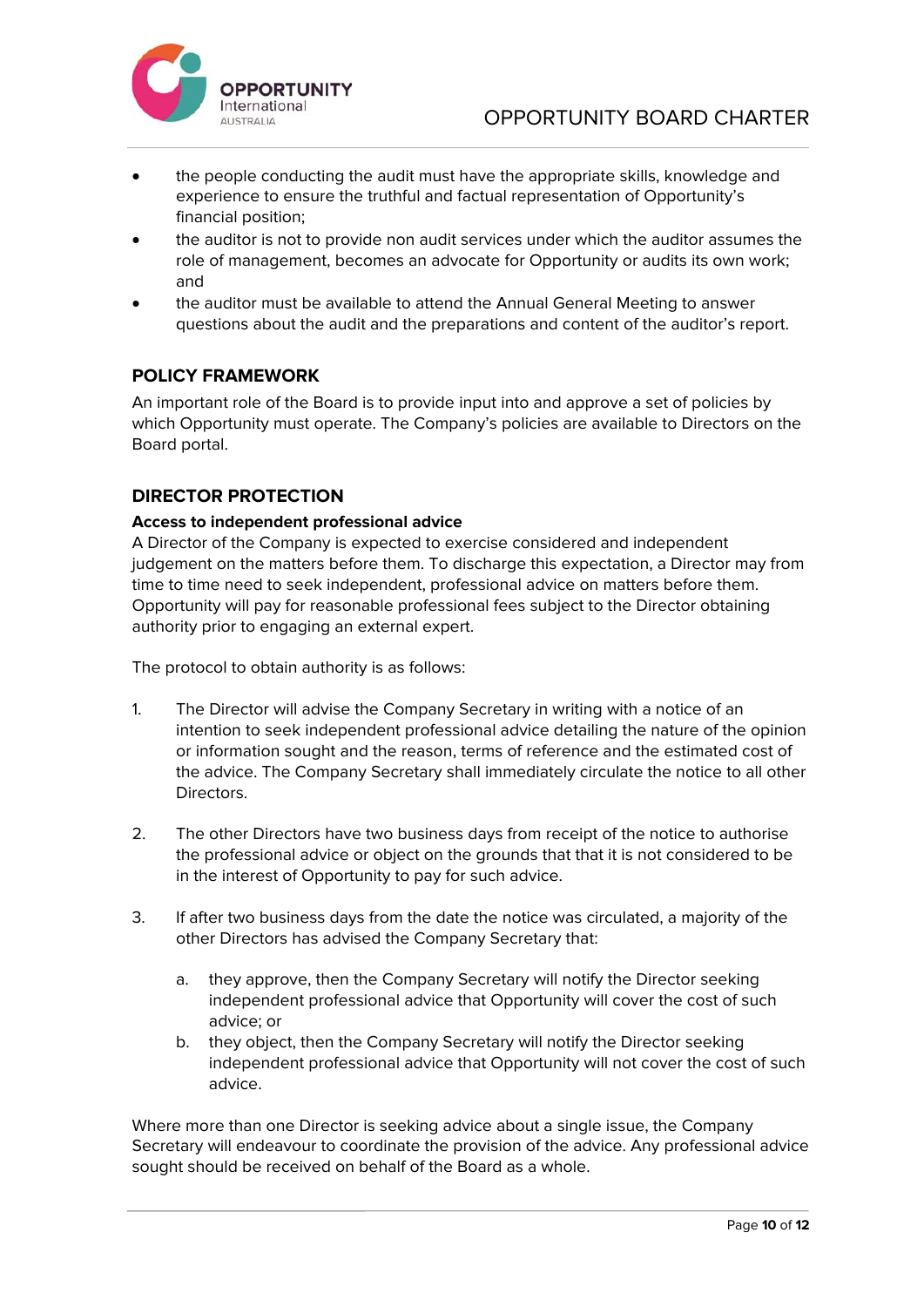

- the people conducting the audit must have the appropriate skills, knowledge and experience to ensure the truthful and factual representation of Opportunity's financial position;
- the auditor is not to provide non audit services under which the auditor assumes the role of management, becomes an advocate for Opportunity or audits its own work; and
- the auditor must be available to attend the Annual General Meeting to answer questions about the audit and the preparations and content of the auditor's report.

## **POLICY FRAMEWORK**

An important role of the Board is to provide input into and approve a set of policies by which Opportunity must operate. The Company's policies are available to Directors on the Board portal.

## **DIRECTOR PROTECTION**

### **Access to independent professional advice**

A Director of the Company is expected to exercise considered and independent judgement on the matters before them. To discharge this expectation, a Director may from time to time need to seek independent, professional advice on matters before them. Opportunity will pay for reasonable professional fees subject to the Director obtaining authority prior to engaging an external expert.

The protocol to obtain authority is as follows:

- 1. The Director will advise the Company Secretary in writing with a notice of an intention to seek independent professional advice detailing the nature of the opinion or information sought and the reason, terms of reference and the estimated cost of the advice. The Company Secretary shall immediately circulate the notice to all other **Directors**
- 2. The other Directors have two business days from receipt of the notice to authorise the professional advice or object on the grounds that that it is not considered to be in the interest of Opportunity to pay for such advice.
- 3. If after two business days from the date the notice was circulated, a majority of the other Directors has advised the Company Secretary that:
	- a. they approve, then the Company Secretary will notify the Director seeking independent professional advice that Opportunity will cover the cost of such advice; or
	- b. they object, then the Company Secretary will notify the Director seeking independent professional advice that Opportunity will not cover the cost of such advice.

Where more than one Director is seeking advice about a single issue, the Company Secretary will endeavour to coordinate the provision of the advice. Any professional advice sought should be received on behalf of the Board as a whole.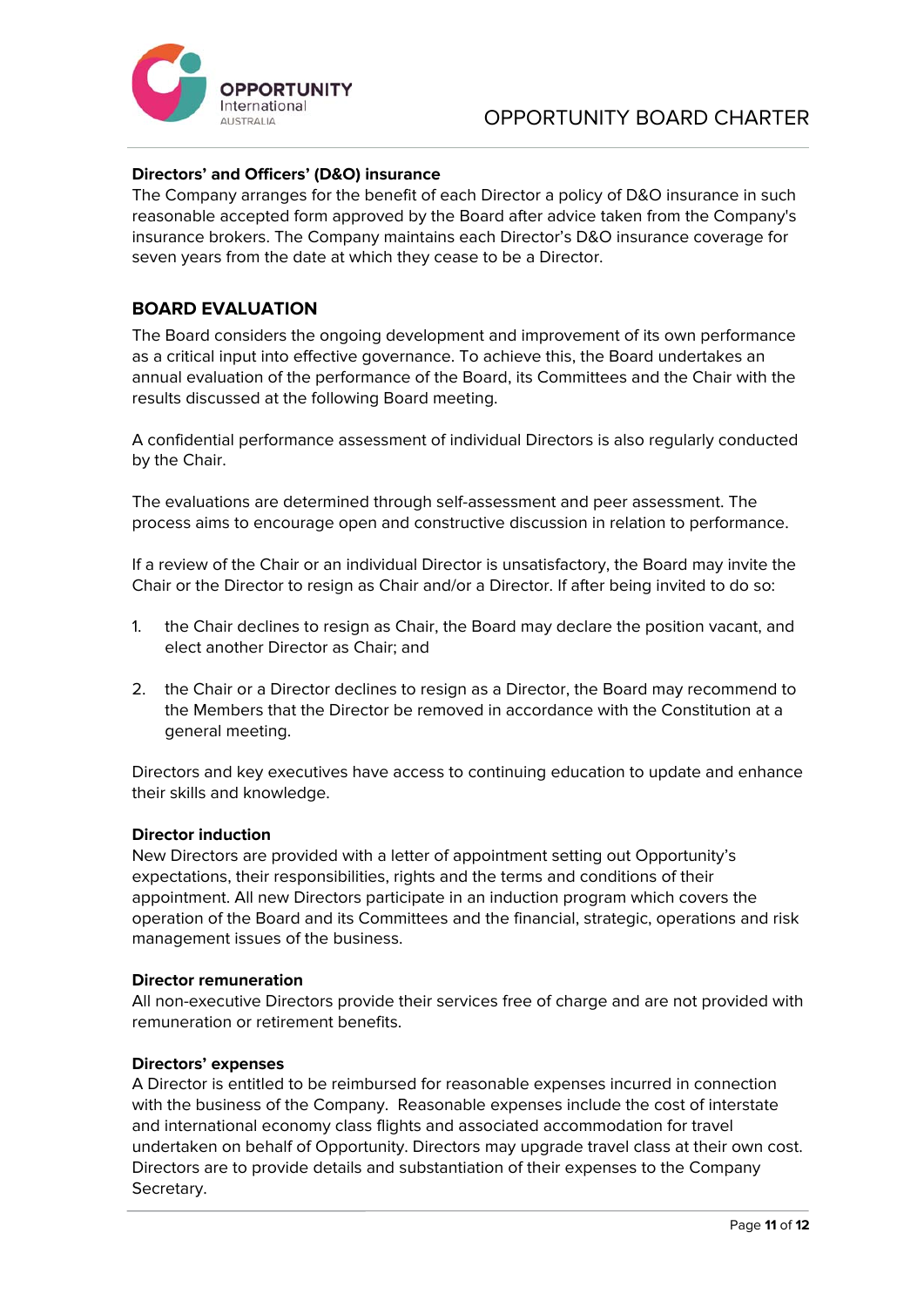

### **Directors' and Officers' (D&O) insurance**

The Company arranges for the benefit of each Director a policy of D&O insurance in such reasonable accepted form approved by the Board after advice taken from the Company's insurance brokers. The Company maintains each Director's D&O insurance coverage for seven years from the date at which they cease to be a Director.

### **BOARD EVALUATION**

The Board considers the ongoing development and improvement of its own performance as a critical input into effective governance. To achieve this, the Board undertakes an annual evaluation of the performance of the Board, its Committees and the Chair with the results discussed at the following Board meeting.

A confidential performance assessment of individual Directors is also regularly conducted by the Chair.

The evaluations are determined through self-assessment and peer assessment. The process aims to encourage open and constructive discussion in relation to performance.

If a review of the Chair or an individual Director is unsatisfactory, the Board may invite the Chair or the Director to resign as Chair and/or a Director. If after being invited to do so:

- 1. the Chair declines to resign as Chair, the Board may declare the position vacant, and elect another Director as Chair; and
- 2. the Chair or a Director declines to resign as a Director, the Board may recommend to the Members that the Director be removed in accordance with the Constitution at a general meeting.

Directors and key executives have access to continuing education to update and enhance their skills and knowledge.

#### **Director induction**

New Directors are provided with a letter of appointment setting out Opportunity's expectations, their responsibilities, rights and the terms and conditions of their appointment. All new Directors participate in an induction program which covers the operation of the Board and its Committees and the financial, strategic, operations and risk management issues of the business.

#### **Director remuneration**

All non-executive Directors provide their services free of charge and are not provided with remuneration or retirement benefits.

#### **Directors' expenses**

A Director is entitled to be reimbursed for reasonable expenses incurred in connection with the business of the Company. Reasonable expenses include the cost of interstate and international economy class flights and associated accommodation for travel undertaken on behalf of Opportunity. Directors may upgrade travel class at their own cost. Directors are to provide details and substantiation of their expenses to the Company Secretary.